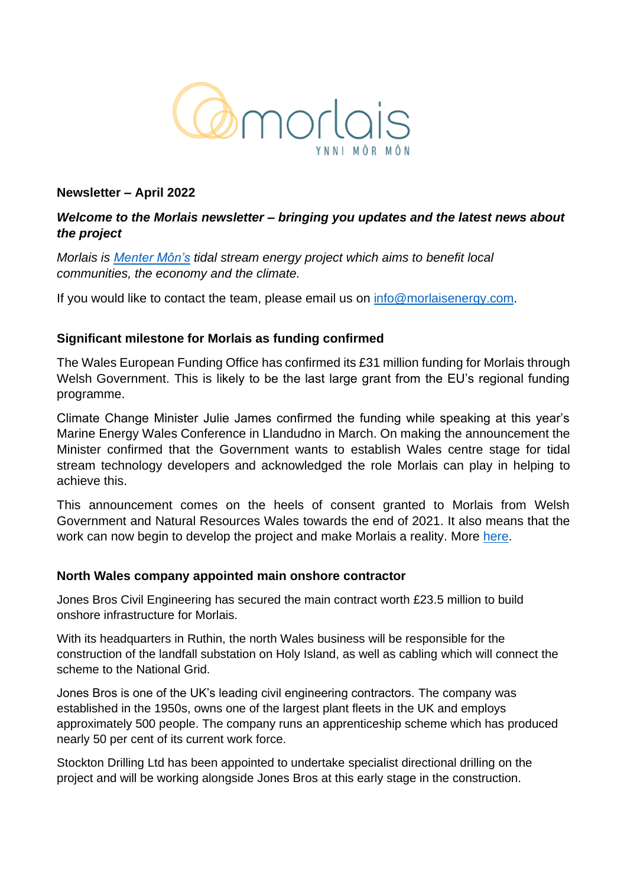

### **Newsletter – April 2022**

# *Welcome to the Morlais newsletter – bringing you updates and the latest news about the project*

*Morlais is [Menter Môn's](https://www.mentermon.com/en/) tidal stream energy project which aims to benefit local communities, the economy and the climate.*

If you would like to contact the team, please email us on [info@morlaisenergy.com.](mailto:info@morlaisenergy.com)

### **Significant milestone for Morlais as funding confirmed**

The Wales European Funding Office has confirmed its £31 million funding for Morlais through Welsh Government. This is likely to be the last large grant from the EU's regional funding programme.

Climate Change Minister Julie James confirmed the funding while speaking at this year's Marine Energy Wales Conference in Llandudno in March. On making the announcement the Minister confirmed that the Government wants to establish Wales centre stage for tidal stream technology developers and acknowledged the role Morlais can play in helping to achieve this.

This announcement comes on the heels of consent granted to Morlais from Welsh Government and Natural Resources Wales towards the end of 2021. It also means that the work can now begin to develop the project and make Morlais a reality. More [here.](https://gov.wales/31m-turn-tide-towards-renewable-energy)

### **North Wales company appointed main onshore contractor**

Jones Bros Civil Engineering has secured the main contract worth £23.5 million to build onshore infrastructure for Morlais.

With its headquarters in Ruthin, the north Wales business will be responsible for the construction of the landfall substation on Holy Island, as well as cabling which will connect the scheme to the National Grid.

Jones Bros is one of the UK's leading civil engineering contractors. The company was established in the 1950s, owns one of the largest plant fleets in the UK and employs approximately 500 people. The company runs an apprenticeship scheme which has produced nearly 50 per cent of its current work force.

Stockton Drilling Ltd has been appointed to undertake specialist directional drilling on the project and will be working alongside Jones Bros at this early stage in the construction.